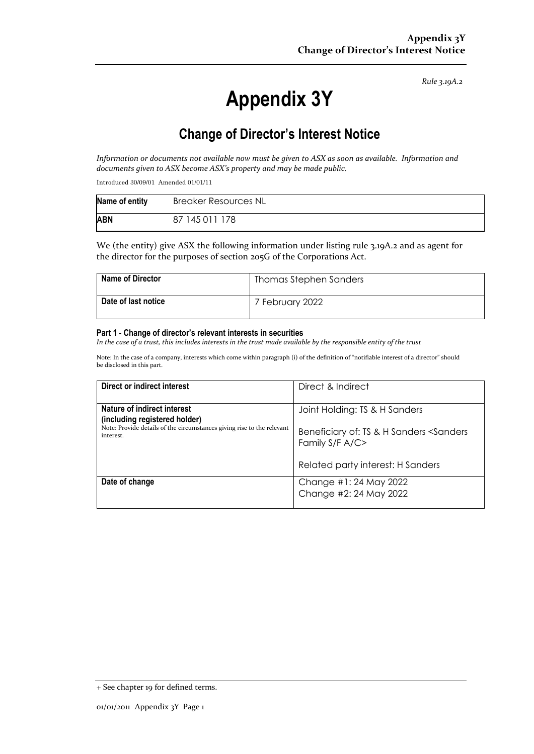*Rule 3.19A.2*

# **Appendix 3Y**

# **Change of Director's Interest Notice**

Information or documents not available now must be given to ASX as soon as available. Information and *documents given to ASX become ASX's property and may be made public.*

Introduced 30/09/01 Amended 01/01/11

| Name of entity | <b>Breaker Resources NL</b> |
|----------------|-----------------------------|
| <b>ABN</b>     | 87 145 011 178              |

We (the entity) give ASX the following information under listing rule 3.19A.2 and as agent for the director for the purposes of section 205G of the Corporations Act.

| <b>Name of Director</b> | Thomas Stephen Sanders |
|-------------------------|------------------------|
| Date of last notice     | 7 February 2022        |

#### **Part 1 - Change of director's relevant interests in securities**

In the case of a trust, this includes interests in the trust made available by the responsible entity of the trust

Note: In the case of a company, interests which come within paragraph (i) of the definition of "notifiable interest of a director" should be disclosed in this part.

| Direct or indirect interest                                                                                                                         | Direct & Indirect                                                                           |
|-----------------------------------------------------------------------------------------------------------------------------------------------------|---------------------------------------------------------------------------------------------|
| Nature of indirect interest<br>(including registered holder)<br>Note: Provide details of the circumstances giving rise to the relevant<br>interest. | Joint Holding: TS & H Sanders<br>Beneficiary of: TS & H Sanders <sanders< th=""></sanders<> |
|                                                                                                                                                     | Family S/F A/C><br>Related party interest: H Sanders                                        |
|                                                                                                                                                     |                                                                                             |
| Date of change                                                                                                                                      | Change #1:24 May 2022<br>Change #2: 24 May 2022                                             |

<sup>+</sup> See chapter 19 for defined terms.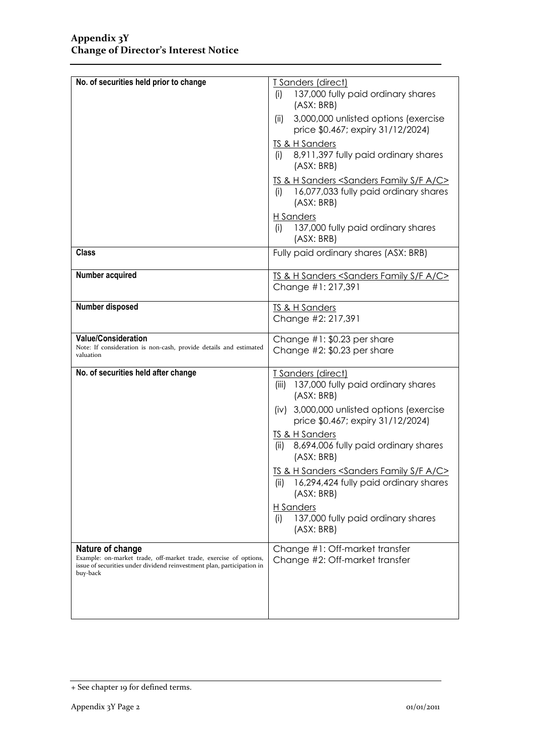| No. of securities held prior to change                                                                                                                                     | T Sanders (direct)<br>137,000 fully paid ordinary shares<br>(i)<br>(ASK: BRB)                                                      |  |
|----------------------------------------------------------------------------------------------------------------------------------------------------------------------------|------------------------------------------------------------------------------------------------------------------------------------|--|
|                                                                                                                                                                            | 3,000,000 unlisted options (exercise<br>(ii)<br>price \$0.467; expiry 31/12/2024)                                                  |  |
|                                                                                                                                                                            | <b>TS &amp; H Sanders</b><br>8,911,397 fully paid ordinary shares<br>(i)<br>(ASK: BRB)                                             |  |
|                                                                                                                                                                            | TS & H Sanders <sanders a="" c="" f="" family="" s=""><br/>16,077,033 fully paid ordinary shares<br/>(i)<br/>(ASK: BRB)</sanders>  |  |
|                                                                                                                                                                            | H Sanders<br>137,000 fully paid ordinary shares<br>(i)<br>(ASX: BRB)                                                               |  |
| <b>Class</b>                                                                                                                                                               | Fully paid ordinary shares (ASX: BRB)                                                                                              |  |
| <b>Number acquired</b>                                                                                                                                                     | TS & H Sanders <sanders a="" c="" f="" family="" s=""><br/>Change #1: 217,391</sanders>                                            |  |
| Number disposed                                                                                                                                                            | <b>TS &amp; H Sanders</b><br>Change #2: 217,391                                                                                    |  |
| <b>Value/Consideration</b><br>Note: If consideration is non-cash, provide details and estimated<br>valuation                                                               | Change #1: \$0.23 per share<br>Change $#2$ : \$0.23 per share                                                                      |  |
| No. of securities held after change                                                                                                                                        | T Sanders (direct)<br>137,000 fully paid ordinary shares<br>(iii)<br>(ASX: BRB)                                                    |  |
|                                                                                                                                                                            | (iv) 3,000,000 unlisted options (exercise<br>price \$0.467; expiry 31/12/2024)                                                     |  |
|                                                                                                                                                                            | TS & H Sanders<br>8,694,006 fully paid ordinary shares<br>(ii)<br>(ASX: BRB)                                                       |  |
|                                                                                                                                                                            | TS & H Sanders <sanders a="" c="" f="" family="" s=""><br/>16,294,424 fully paid ordinary shares<br/>(ii)<br/>(ASX: BRB)</sanders> |  |
|                                                                                                                                                                            | H Sanders<br>137,000 fully paid ordinary shares<br>(i)<br>(ASX: BRB)                                                               |  |
| Nature of change<br>Example: on-market trade, off-market trade, exercise of options,<br>issue of securities under dividend reinvestment plan, participation in<br>buy-back | Change #1: Off-market transfer<br>Change #2: Off-market transfer                                                                   |  |
|                                                                                                                                                                            |                                                                                                                                    |  |

<sup>+</sup> See chapter 19 for defined terms.